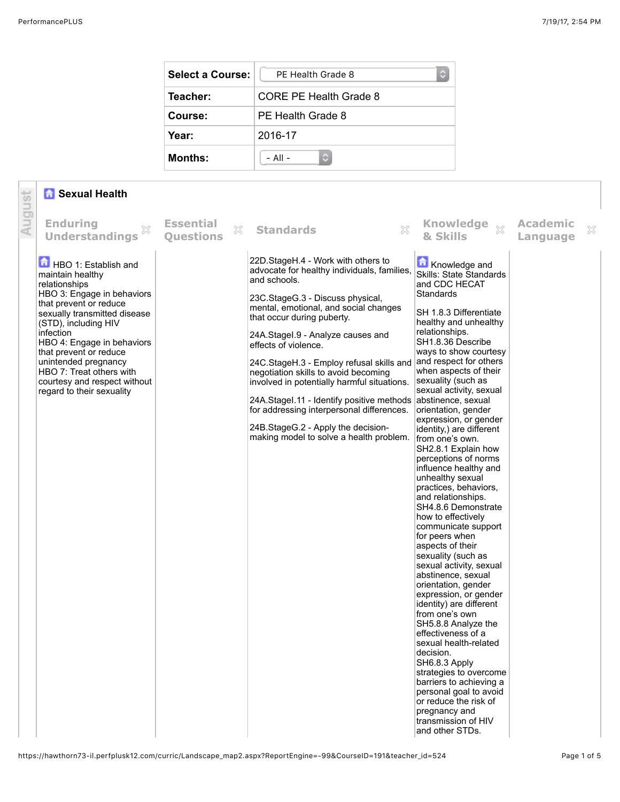| <b>Select a Course:</b> | PE Health Grade 8      |  |  |
|-------------------------|------------------------|--|--|
| Teacher:                | CORE PE Health Grade 8 |  |  |
| Course:                 | PE Health Grade 8      |  |  |
| Year:                   | 2016-17                |  |  |
| <b>Months:</b>          | $-$ All $-$            |  |  |

## *f* Sexual Health

|        | <b>R</b> Sexual Health                                                                                                                                                                                                                                                                                                                                          |                                      |   |                                                                                                                                                                                                                                                                                                                                                                                                                                                                                                                                                                                                              |                                                                                                                                                                                                                                                                                                                                                                                                                                                                                                                                                                                                                                                                                                                                                                                                                                                                                                                                                                                                                                                                                                     |                             |   |
|--------|-----------------------------------------------------------------------------------------------------------------------------------------------------------------------------------------------------------------------------------------------------------------------------------------------------------------------------------------------------------------|--------------------------------------|---|--------------------------------------------------------------------------------------------------------------------------------------------------------------------------------------------------------------------------------------------------------------------------------------------------------------------------------------------------------------------------------------------------------------------------------------------------------------------------------------------------------------------------------------------------------------------------------------------------------------|-----------------------------------------------------------------------------------------------------------------------------------------------------------------------------------------------------------------------------------------------------------------------------------------------------------------------------------------------------------------------------------------------------------------------------------------------------------------------------------------------------------------------------------------------------------------------------------------------------------------------------------------------------------------------------------------------------------------------------------------------------------------------------------------------------------------------------------------------------------------------------------------------------------------------------------------------------------------------------------------------------------------------------------------------------------------------------------------------------|-----------------------------|---|
| August | <b>Enduring</b><br>X<br><b>Understandings</b>                                                                                                                                                                                                                                                                                                                   | <b>Essential</b><br><b>Ouestions</b> | X | ×<br><b>Standards</b>                                                                                                                                                                                                                                                                                                                                                                                                                                                                                                                                                                                        | <b>Knowledge</b><br>$\bar{\chi}$<br>& Skills                                                                                                                                                                                                                                                                                                                                                                                                                                                                                                                                                                                                                                                                                                                                                                                                                                                                                                                                                                                                                                                        | <b>Academic</b><br>Language | X |
|        | HBO 1: Establish and<br>maintain healthy<br>relationships<br>HBO 3: Engage in behaviors<br>that prevent or reduce<br>sexually transmitted disease<br>(STD), including HIV<br>infection<br>HBO 4: Engage in behaviors<br>that prevent or reduce<br>unintended pregnancy<br>HBO 7: Treat others with<br>courtesy and respect without<br>regard to their sexuality |                                      |   | 22D.StageH.4 - Work with others to<br>advocate for healthy individuals, families,<br>and schools.<br>23C.StageG.3 - Discuss physical,<br>mental, emotional, and social changes<br>that occur during puberty.<br>24A.Stagel.9 - Analyze causes and<br>effects of violence.<br>24C.StageH.3 - Employ refusal skills and<br>negotiation skills to avoid becoming<br>involved in potentially harmful situations.<br>24A. Stagel. 11 - Identify positive methods abstinence, sexual<br>for addressing interpersonal differences.<br>24B.StageG.2 - Apply the decision-<br>making model to solve a health problem. | Knowledge and<br>Skills: State Standards<br>and CDC HECAT<br><b>Standards</b><br>SH 1.8.3 Differentiate<br>healthy and unhealthy<br>relationships.<br>SH1.8.36 Describe<br>ways to show courtesy<br>and respect for others<br>when aspects of their<br>sexuality (such as<br>sexual activity, sexual<br>orientation, gender<br>expression, or gender<br>identity,) are different<br>from one's own.<br>SH2.8.1 Explain how<br>perceptions of norms<br>influence healthy and<br>unhealthy sexual<br>practices, behaviors,<br>and relationships.<br>SH4.8.6 Demonstrate<br>how to effectively<br>communicate support<br>for peers when<br>aspects of their<br>sexuality (such as<br>sexual activity, sexual<br>abstinence, sexual<br>orientation, gender<br>expression, or gender<br>identity) are different<br>from one's own<br>SH5.8.8 Analyze the<br>effectiveness of a<br>sexual health-related<br>decision.<br>SH6.8.3 Apply<br>strategies to overcome<br>barriers to achieving a<br>personal goal to avoid<br>or reduce the risk of<br>pregnancy and<br>transmission of HIV<br>and other STDs. |                             |   |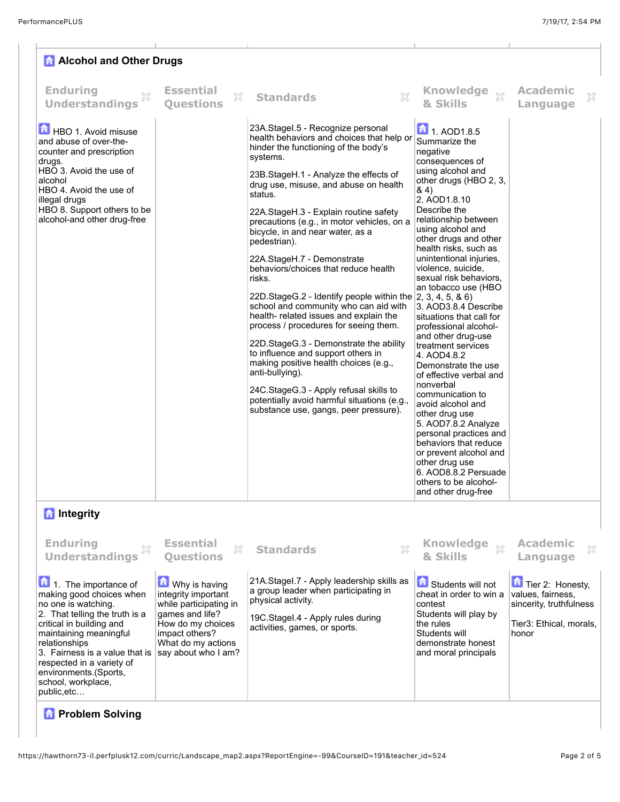| <b>A</b> Alcohol and Other Drugs                                                                                                                                                                                                    |                                           |                                                                                                                                                                                                                                                                                                                                                                                                                                                                                                                                                                                                                                                                                                                                                                                                                                                                                                                                               |                                                                                                                                                                                                                                                                                                                                                                                                                                                                                                                                                                                                                                                                                                                                                                                                                                      |                                  |  |  |  |  |
|-------------------------------------------------------------------------------------------------------------------------------------------------------------------------------------------------------------------------------------|-------------------------------------------|-----------------------------------------------------------------------------------------------------------------------------------------------------------------------------------------------------------------------------------------------------------------------------------------------------------------------------------------------------------------------------------------------------------------------------------------------------------------------------------------------------------------------------------------------------------------------------------------------------------------------------------------------------------------------------------------------------------------------------------------------------------------------------------------------------------------------------------------------------------------------------------------------------------------------------------------------|--------------------------------------------------------------------------------------------------------------------------------------------------------------------------------------------------------------------------------------------------------------------------------------------------------------------------------------------------------------------------------------------------------------------------------------------------------------------------------------------------------------------------------------------------------------------------------------------------------------------------------------------------------------------------------------------------------------------------------------------------------------------------------------------------------------------------------------|----------------------------------|--|--|--|--|
| <b>Enduring</b><br><b>Understandings</b>                                                                                                                                                                                            | <b>Essential</b><br>X<br><b>Ouestions</b> | $\chi$<br><b>Standards</b>                                                                                                                                                                                                                                                                                                                                                                                                                                                                                                                                                                                                                                                                                                                                                                                                                                                                                                                    | <b>Knowledge</b><br>$\chi$<br>& Skills                                                                                                                                                                                                                                                                                                                                                                                                                                                                                                                                                                                                                                                                                                                                                                                               | <b>Academic</b><br>X<br>Language |  |  |  |  |
| HBO 1. Avoid misuse<br>and abuse of over-the-<br>counter and prescription<br>drugs.<br>HBO 3. Avoid the use of<br>alcohol<br>HBO 4. Avoid the use of<br>illegal drugs<br>HBO 8. Support others to be<br>alcohol-and other drug-free |                                           | 23A.Stagel.5 - Recognize personal<br>health behaviors and choices that help or<br>hinder the functioning of the body's<br>systems.<br>23B. StageH. 1 - Analyze the effects of<br>drug use, misuse, and abuse on health<br>status.<br>22A.StageH.3 - Explain routine safety<br>precautions (e.g., in motor vehicles, on a<br>bicycle, in and near water, as a<br>pedestrian).<br>22A.StageH.7 - Demonstrate<br>behaviors/choices that reduce health<br>risks.<br>22D.StageG.2 - Identify people within the $ 2, 3, 4, 5, 8, 6\rangle$<br>school and community who can aid with<br>health-related issues and explain the<br>process / procedures for seeing them.<br>22D.StageG.3 - Demonstrate the ability<br>to influence and support others in<br>making positive health choices (e.g.,<br>anti-bullying).<br>24C.StageG.3 - Apply refusal skills to<br>potentially avoid harmful situations (e.g.,<br>substance use, gangs, peer pressure). | $\boxed{\bullet}$ 1. AOD1.8.5<br>Summarize the<br>negative<br>consequences of<br>using alcohol and<br>other drugs (HBO 2, 3,<br>84)<br>2. AOD1.8.10<br>Describe the<br>relationship between<br>using alcohol and<br>other drugs and other<br>health risks, such as<br>unintentional injuries,<br>violence, suicide,<br>sexual risk behaviors,<br>an tobacco use (HBO<br>3. AOD3.8.4 Describe<br>situations that call for<br>professional alcohol-<br>and other drug-use<br>treatment services<br>4. AOD4.8.2<br>Demonstrate the use<br>of effective verbal and<br>nonverbal<br>communication to<br>avoid alcohol and<br>other drug use<br>5. AOD7.8.2 Analyze<br>personal practices and<br>behaviors that reduce<br>or prevent alcohol and<br>other drug use<br>6. AOD8.8.2 Persuade<br>others to be alcohol-<br>and other drug-free |                                  |  |  |  |  |
| <b>n</b> Integrity                                                                                                                                                                                                                  |                                           |                                                                                                                                                                                                                                                                                                                                                                                                                                                                                                                                                                                                                                                                                                                                                                                                                                                                                                                                               |                                                                                                                                                                                                                                                                                                                                                                                                                                                                                                                                                                                                                                                                                                                                                                                                                                      |                                  |  |  |  |  |
| <b>Enduring</b><br><b>Understandings</b>                                                                                                                                                                                            | <b>Essential</b><br>X<br><b>Questions</b> | <b>Standards</b>                                                                                                                                                                                                                                                                                                                                                                                                                                                                                                                                                                                                                                                                                                                                                                                                                                                                                                                              | <b>Knowledge</b><br>$\chi$<br>& Skills                                                                                                                                                                                                                                                                                                                                                                                                                                                                                                                                                                                                                                                                                                                                                                                               | <b>Academic</b><br>X<br>Language |  |  |  |  |

1. The importance of making good choices when no one is watching. 2. That telling the truth is a critical in building and maintaining meaningful relationships 3. Fairness is a value that is respected in a variety of environments.(Sports, school, workplace, public,etc…

## **M** Why is having integrity important while participating in games and life? How do my choices impact others? What do my actions say about who I am?

physical activity. 19C.StageI.4 - Apply rules during activities, games, or sports.

21A.StageI.7 - Apply leadership skills as a group leader when participating in

**Co** Students will not cheat in order to win a contest Students will play by the rules Students will demonstrate honest

and moral principals

Tier 2: Honesty, values, fairness,

sincerity, truthfulness Tier3: Ethical, morals,

honor

## *<b>R* Problem Solving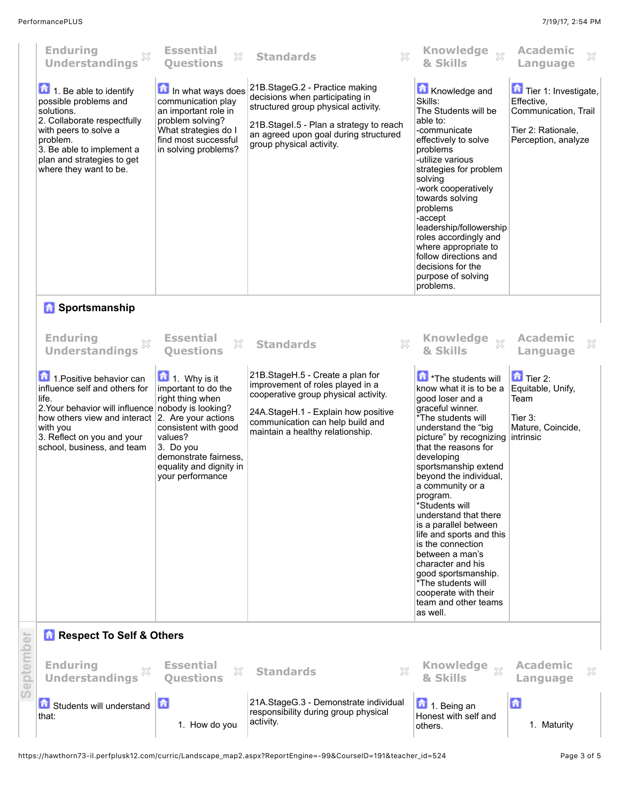| <b>Enduring</b><br><b>Understandings</b>                                                                                                                                                                                                             | <b>Essential</b><br>X<br><b>Ouestions</b>                                                                                                                                                      | $\chi$<br><b>Standards</b>                                                                                                                                                                                                  | <b>Knowledge</b><br>$\bar{\chi}$<br>& Skills                                                                                                                                                                                                                                                                                                                                                                                                                                                                                                               | <b>Academic</b><br>X<br>Language                                                                        |
|------------------------------------------------------------------------------------------------------------------------------------------------------------------------------------------------------------------------------------------------------|------------------------------------------------------------------------------------------------------------------------------------------------------------------------------------------------|-----------------------------------------------------------------------------------------------------------------------------------------------------------------------------------------------------------------------------|------------------------------------------------------------------------------------------------------------------------------------------------------------------------------------------------------------------------------------------------------------------------------------------------------------------------------------------------------------------------------------------------------------------------------------------------------------------------------------------------------------------------------------------------------------|---------------------------------------------------------------------------------------------------------|
| $\boxed{\bullet}$ 1. Be able to identify<br>possible problems and<br>solutions.<br>2. Collaborate respectfully<br>with peers to solve a<br>problem.<br>3. Be able to implement a<br>plan and strategies to get<br>where they want to be.             | In what ways does<br>communication play<br>an important role in<br>problem solving?<br>What strategies do I<br>find most successful<br>in solving problems?                                    | 21B.StageG.2 - Practice making<br>decisions when participating in<br>structured group physical activity.<br>21B.Stagel.5 - Plan a strategy to reach<br>an agreed upon goal during structured<br>group physical activity.    | Knowledge and<br>Skills:<br>The Students will be<br>able to:<br>-communicate<br>effectively to solve<br>problems<br>-utilize various<br>strategies for problem<br>solving<br>-work cooperatively<br>towards solving<br>problems<br>-accept<br>leadership/followership<br>roles accordingly and<br>where appropriate to<br>follow directions and<br>decisions for the<br>purpose of solving<br>problems.                                                                                                                                                    | Tier 1: Investigate,<br>Effective,<br>Communication, Trail<br>Tier 2: Rationale,<br>Perception, analyze |
| <b>B</b> Sportsmanship                                                                                                                                                                                                                               |                                                                                                                                                                                                |                                                                                                                                                                                                                             |                                                                                                                                                                                                                                                                                                                                                                                                                                                                                                                                                            |                                                                                                         |
| <b>Enduring</b><br>X<br><b>Understandings</b>                                                                                                                                                                                                        | <b>Essential</b><br>×<br><b>Ouestions</b>                                                                                                                                                      | X<br><b>Standards</b>                                                                                                                                                                                                       | <b>Knowledge</b><br>$\chi$<br>& Skills                                                                                                                                                                                                                                                                                                                                                                                                                                                                                                                     | <b>Academic</b><br>×<br>Language                                                                        |
| 1. Positive behavior can<br>influence self and others for<br>life.<br>2. Your behavior will influence nobody is looking?<br>how others view and interact 2. Are your actions<br>with you<br>3. Reflect on you and your<br>school, business, and team | $\blacksquare$ 1. Why is it<br>important to do the<br>right thing when<br>consistent with good<br>values?<br>3. Do you<br>demonstrate fairness.<br>equality and dignity in<br>your performance | 21B.StageH.5 - Create a plan for<br>improvement of roles played in a<br>cooperative group physical activity.<br>24A.StageH.1 - Explain how positive<br>communication can help build and<br>maintain a healthy relationship. | The students will<br>know what it is to be a<br>good loser and a<br>graceful winner.<br>*The students will<br>understand the "big<br>picture" by recognizing<br>that the reasons for<br>developing<br>sportsmanship extend<br>beyond the individual,<br>a community or a<br>program.<br>*Students will<br>understand that there<br>is a parallel between<br>life and sports and this<br>is the connection<br>between a man's<br>character and his<br>good sportsmanship.<br>*The students will<br>cooperate with their<br>team and other teams<br>as well. | $\Box$ Tier 2:<br>Equitable, Unify,<br>Team<br>Tier 3:<br>Mature, Coincide,<br>intrinsic                |
| <b>Respect To Self &amp; Others</b>                                                                                                                                                                                                                  |                                                                                                                                                                                                |                                                                                                                                                                                                                             |                                                                                                                                                                                                                                                                                                                                                                                                                                                                                                                                                            |                                                                                                         |
| <b>Enduring</b><br><b>Understandings</b>                                                                                                                                                                                                             | <b>Essential</b><br>X<br><b>Ouestions</b>                                                                                                                                                      | <b>Standards</b><br>X                                                                                                                                                                                                       | <b>Knowledge</b><br>$\chi$<br>& Skills                                                                                                                                                                                                                                                                                                                                                                                                                                                                                                                     | <b>Academic</b><br>×<br>Language                                                                        |
| Students will understand<br>that:                                                                                                                                                                                                                    | 后<br>1. How do you                                                                                                                                                                             | 21A.StageG.3 - Demonstrate individual<br>responsibility during group physical<br>activity.                                                                                                                                  | 1. Being an<br>Honest with self and<br>others.                                                                                                                                                                                                                                                                                                                                                                                                                                                                                                             | 命<br>1. Maturity                                                                                        |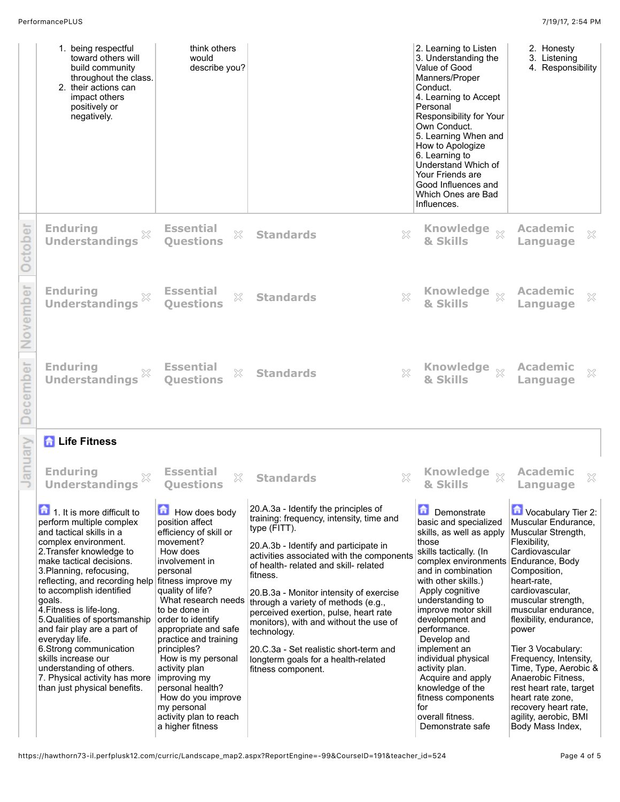| 1. being respectful<br>toward others will<br>build community<br>throughout the class.<br>2. their actions can<br>impact others<br>positively or<br>negatively.                                                                                                                                                                                                                                                                                                                                                                                                          | think others<br>would<br>describe you?                                                                                                                                                                                                                                                                                                                                                                                                |                                                                                                                                                                                                                                                                                                                                                                                                                                                                                                                                        |   | 2. Learning to Listen<br>3. Understanding the<br>Value of Good<br>Manners/Proper<br>Conduct.<br>4. Learning to Accept<br>Personal<br>Responsibility for Your<br>Own Conduct.<br>5. Learning When and<br>How to Apologize<br>6. Learning to<br>Understand Which of<br>Your Friends are<br>Good Influences and<br>Which Ones are Bad<br>Influences.                                                                                                               | 2. Honesty<br>3. Listening<br>4. Responsibility                                                                                                                                                                                                                                                                                                                                                                                                                           |
|-------------------------------------------------------------------------------------------------------------------------------------------------------------------------------------------------------------------------------------------------------------------------------------------------------------------------------------------------------------------------------------------------------------------------------------------------------------------------------------------------------------------------------------------------------------------------|---------------------------------------------------------------------------------------------------------------------------------------------------------------------------------------------------------------------------------------------------------------------------------------------------------------------------------------------------------------------------------------------------------------------------------------|----------------------------------------------------------------------------------------------------------------------------------------------------------------------------------------------------------------------------------------------------------------------------------------------------------------------------------------------------------------------------------------------------------------------------------------------------------------------------------------------------------------------------------------|---|-----------------------------------------------------------------------------------------------------------------------------------------------------------------------------------------------------------------------------------------------------------------------------------------------------------------------------------------------------------------------------------------------------------------------------------------------------------------|---------------------------------------------------------------------------------------------------------------------------------------------------------------------------------------------------------------------------------------------------------------------------------------------------------------------------------------------------------------------------------------------------------------------------------------------------------------------------|
| <b>Enduring</b><br><b>Understandings</b>                                                                                                                                                                                                                                                                                                                                                                                                                                                                                                                                | <b>Essential</b><br>X<br>Questions                                                                                                                                                                                                                                                                                                                                                                                                    | <b>Standards</b>                                                                                                                                                                                                                                                                                                                                                                                                                                                                                                                       | X | Knowledge $\underset{\mathbb{X}}{\rightrightarrows}$<br>& Skills                                                                                                                                                                                                                                                                                                                                                                                                | <b>Academic</b><br>X<br>Language                                                                                                                                                                                                                                                                                                                                                                                                                                          |
| <b>Enduring</b><br><b>Understandings</b>                                                                                                                                                                                                                                                                                                                                                                                                                                                                                                                                | <b>Essential</b><br>X<br><b>Ouestions</b>                                                                                                                                                                                                                                                                                                                                                                                             | <b>Standards</b>                                                                                                                                                                                                                                                                                                                                                                                                                                                                                                                       | × | Knowledge xx<br>& Skills                                                                                                                                                                                                                                                                                                                                                                                                                                        | <b>Academic</b><br>×<br>Language                                                                                                                                                                                                                                                                                                                                                                                                                                          |
| <b>Enduring</b><br><b>Understandings</b>                                                                                                                                                                                                                                                                                                                                                                                                                                                                                                                                | <b>Essential</b><br>X<br><b>Ouestions</b>                                                                                                                                                                                                                                                                                                                                                                                             | <b>Standards</b>                                                                                                                                                                                                                                                                                                                                                                                                                                                                                                                       | X | <b>Knowledge</b><br>$\tilde{\chi}^2$<br>& Skills                                                                                                                                                                                                                                                                                                                                                                                                                | <b>Academic</b><br>X<br>Language                                                                                                                                                                                                                                                                                                                                                                                                                                          |
| <b>A</b> Life Fitness                                                                                                                                                                                                                                                                                                                                                                                                                                                                                                                                                   |                                                                                                                                                                                                                                                                                                                                                                                                                                       |                                                                                                                                                                                                                                                                                                                                                                                                                                                                                                                                        |   |                                                                                                                                                                                                                                                                                                                                                                                                                                                                 |                                                                                                                                                                                                                                                                                                                                                                                                                                                                           |
| <b>Enduring</b><br><b>Understandings</b>                                                                                                                                                                                                                                                                                                                                                                                                                                                                                                                                | <b>Essential</b><br>X<br>Questions                                                                                                                                                                                                                                                                                                                                                                                                    | <b>Standards</b>                                                                                                                                                                                                                                                                                                                                                                                                                                                                                                                       | X | <b>Knowledge</b><br>$\bar{\chi}$<br>& Skills                                                                                                                                                                                                                                                                                                                                                                                                                    | <b>Academic</b><br>Language                                                                                                                                                                                                                                                                                                                                                                                                                                               |
| $\boxed{\bullet}$ 1. It is more difficult to<br>perform multiple complex<br>and tactical skills in a<br>complex environment.<br>2. Transfer knowledge to<br>make tactical decisions.<br>3. Planning, refocusing,<br>reflecting, and recording help fitness improve my<br>to accomplish identified<br>goals.<br>4. Fitness is life-long.<br>5. Qualities of sportsmanship<br>and fair play are a part of<br>everyday life.<br>6.Strong communication<br>skills increase our<br>understanding of others.<br>7. Physical activity has more<br>than just physical benefits. | 亩<br>How does body<br>position affect<br>efficiency of skill or<br>movement?<br>How does<br>involvement in<br>personal<br>quality of life?<br>What research needs<br>to be done in<br>order to identify<br>appropriate and safe<br>practice and training<br>principles?<br>How is my personal<br>activity plan<br>improving my<br>personal health?<br>How do you improve<br>my personal<br>activity plan to reach<br>a higher fitness | 20.A.3a - Identify the principles of<br>training: frequency, intensity, time and<br>type (FITT).<br>20.A.3b - Identify and participate in<br>activities associated with the components<br>of health- related and skill- related<br>fitness.<br>20.B.3a - Monitor intensity of exercise<br>through a variety of methods (e.g.,<br>perceived exertion, pulse, heart rate<br>monitors), with and without the use of<br>technology.<br>20.C.3a - Set realistic short-term and<br>longterm goals for a health-related<br>fitness component. |   | Demonstrate<br>basic and specialized<br>skills, as well as apply<br>those<br>skills tactically. (In<br>complex environments<br>and in combination<br>with other skills.)<br>Apply cognitive<br>understanding to<br>improve motor skill<br>development and<br>performance.<br>Develop and<br>implement an<br>individual physical<br>activity plan.<br>Acquire and apply<br>knowledge of the<br>fitness components<br>for<br>overall fitness.<br>Demonstrate safe | Vocabulary Tier 2:<br>Muscular Endurance,<br>Muscular Strength,<br>Flexibility,<br>Cardiovascular<br>Endurance, Body<br>Composition,<br>heart-rate.<br>cardiovascular,<br>muscular strength,<br>muscular endurance,<br>flexibility, endurance,<br>power<br>Tier 3 Vocabulary:<br>Frequency, Intensity,<br>Time, Type, Aerobic &<br>Anaerobic Fitness,<br>rest heart rate, target<br>heart rate zone,<br>recovery heart rate,<br>agility, aerobic, BMI<br>Body Mass Index, |